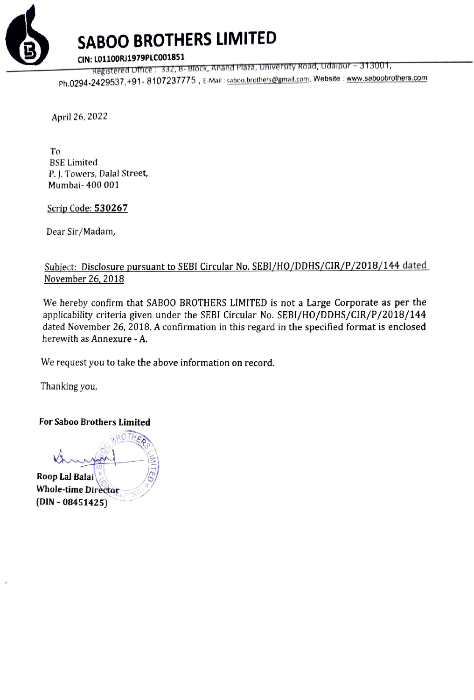

## SABOO BROTHERS LIMITED

Registered Office : 332, B- Block, Anand Plaza, University Road, Udaipur - 313001,

Ph.0294-2429537,+91- 8107237775, E-Mail : saboo.brothers@gmail.com, Website : www.saboobrothers.com

April 26, 2022

To BSE Limited P. ]. Towers, Dalal Street, Mumbai- 400 001

Scrip Code: 530267

Dear Sir/Madam,

## Subject: Disclosure pursuant to SEBI Circular No. SEBI/HO/DDHS/CIR/P/2018/144 dated November 26, 2018

We hereby confirm that SABOO BROTHERS LIMITED is not a Large Corporate as per the applicability criteria given under the SEBI Circular No. SEBI/HO/DDHS/CIR/P/2018/144 dated November 26, 2018. A confirmation in this regard in the specified format is enclosed herewith as Annexure - A.

We request you to take the above information on record.

Thanking you,

For Saboo Brothers Limited

ROTHER BROTHEAM Roop Lal Balai Whole-time Director  $(DIN - 08451425)$ ~ ~~